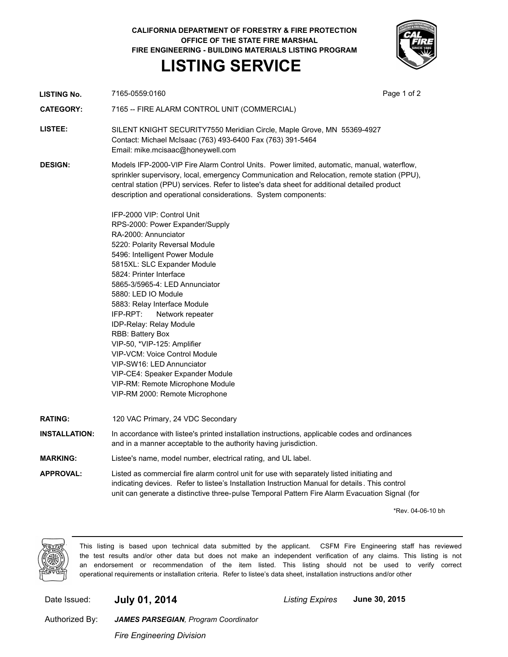**CALIFORNIA DEPARTMENT OF FORESTRY & FIRE PROTECTION OFFICE OF THE STATE FIRE MARSHAL FIRE ENGINEERING - BUILDING MATERIALS LISTING PROGRAM LISTING SERVICE**

**LISTING No.** 7165-0559:0160 **Page 1 of 2 Page 1 of 2** 

| <b>CATEGORY:</b>     | 7165 -- FIRE ALARM CONTROL UNIT (COMMERCIAL)                                                                                                                                                                                                                                                                                                                                                                                                                                                                                                                                                                     |
|----------------------|------------------------------------------------------------------------------------------------------------------------------------------------------------------------------------------------------------------------------------------------------------------------------------------------------------------------------------------------------------------------------------------------------------------------------------------------------------------------------------------------------------------------------------------------------------------------------------------------------------------|
| LISTEE:              | SILENT KNIGHT SECURITY7550 Meridian Circle, Maple Grove, MN 55369-4927<br>Contact: Michael McIsaac (763) 493-6400 Fax (763) 391-5464<br>Email: mike.mcisaac@honeywell.com                                                                                                                                                                                                                                                                                                                                                                                                                                        |
| <b>DESIGN:</b>       | Models IFP-2000-VIP Fire Alarm Control Units. Power limited, automatic, manual, waterflow,<br>sprinkler supervisory, local, emergency Communication and Relocation, remote station (PPU),<br>central station (PPU) services. Refer to listee's data sheet for additional detailed product<br>description and operational considerations. System components:                                                                                                                                                                                                                                                      |
|                      | IFP-2000 VIP: Control Unit<br>RPS-2000: Power Expander/Supply<br>RA-2000: Annunciator<br>5220: Polarity Reversal Module<br>5496: Intelligent Power Module<br>5815XL: SLC Expander Module<br>5824: Printer Interface<br>5865-3/5965-4: LED Annunciator<br>5880: LED IO Module<br>5883: Relay Interface Module<br>IFP-RPT:<br>Network repeater<br><b>IDP-Relay: Relay Module</b><br>RBB: Battery Box<br>VIP-50, *VIP-125: Amplifier<br><b>VIP-VCM: Voice Control Module</b><br>VIP-SW16: LED Annunciator<br>VIP-CE4: Speaker Expander Module<br>VIP-RM: Remote Microphone Module<br>VIP-RM 2000: Remote Microphone |
| <b>RATING:</b>       | 120 VAC Primary, 24 VDC Secondary                                                                                                                                                                                                                                                                                                                                                                                                                                                                                                                                                                                |
| <b>INSTALLATION:</b> | In accordance with listee's printed installation instructions, applicable codes and ordinances<br>and in a manner acceptable to the authority having jurisdiction.                                                                                                                                                                                                                                                                                                                                                                                                                                               |
| <b>MARKING:</b>      | Listee's name, model number, electrical rating, and UL label.                                                                                                                                                                                                                                                                                                                                                                                                                                                                                                                                                    |
| <b>APPROVAL:</b>     | Listed as commercial fire alarm control unit for use with separately listed initiating and<br>indicating devices. Refer to listee's Installation Instruction Manual for details. This control<br>unit can generate a distinctive three-pulse Temporal Pattern Fire Alarm Evacuation Signal (for                                                                                                                                                                                                                                                                                                                  |

\*Rev. 04-06-10 bh



This listing is based upon technical data submitted by the applicant. CSFM Fire Engineering staff has reviewed the test results and/or other data but does not make an independent verification of any claims. This listing is not an endorsement or recommendation of the item listed. This listing should not be used to verify correct operational requirements or installation criteria. Refer to listee's data sheet, installation instructions and/or other

Date Issued: **July 01, 2014** *Listing Expires* **June 30, 2015**

Authorized By:

*Fire Engineering Division*

*JAMES PARSEGIAN, Program Coordinator*